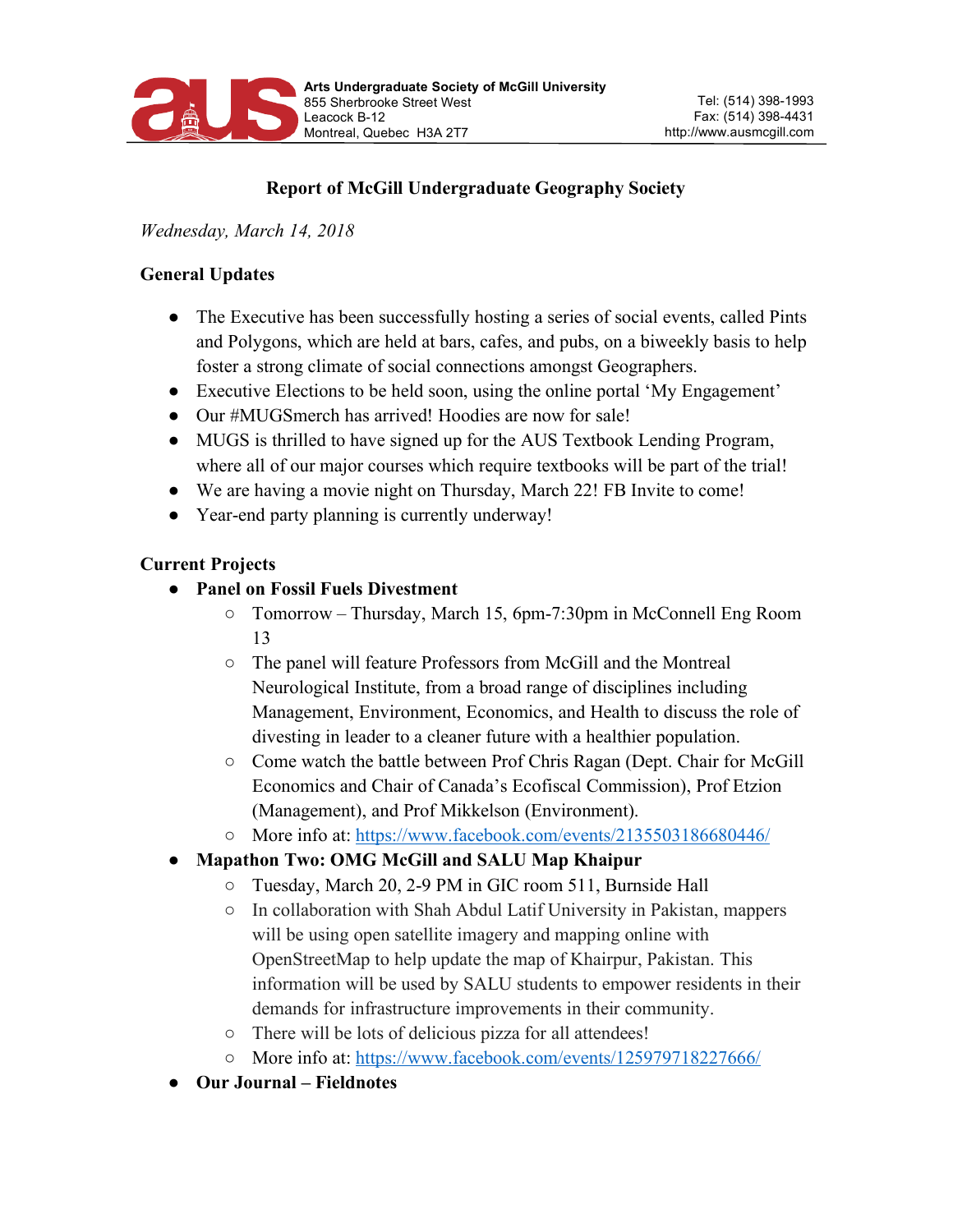

# **Report of McGill Undergraduate Geography Society**

*Wednesday, March 14, 2018*

#### **General Updates**

- The Executive has been successfully hosting a series of social events, called Pints and Polygons, which are held at bars, cafes, and pubs, on a biweekly basis to help foster a strong climate of social connections amongst Geographers.
- Executive Elections to be held soon, using the online portal 'My Engagement'
- Our #MUGSmerch has arrived! Hoodies are now for sale!
- MUGS is thrilled to have signed up for the AUS Textbook Lending Program, where all of our major courses which require textbooks will be part of the trial!
- We are having a movie night on Thursday, March 22! FB Invite to come!
- Year-end party planning is currently underway!

### **Current Projects**

- **Panel on Fossil Fuels Divestment**
	- Tomorrow Thursday, March 15, 6pm-7:30pm in McConnell Eng Room 13
	- The panel will feature Professors from McGill and the Montreal Neurological Institute, from a broad range of disciplines including Management, Environment, Economics, and Health to discuss the role of divesting in leader to a cleaner future with a healthier population.
	- Come watch the battle between Prof Chris Ragan (Dept. Chair for McGill Economics and Chair of Canada's Ecofiscal Commission), Prof Etzion (Management), and Prof Mikkelson (Environment).
	- More info at: https://www.facebook.com/events/2135503186680446/

# ● **Mapathon Two: OMG McGill and SALU Map Khaipur**

- Tuesday, March 20, 2-9 PM in GIC room 511, Burnside Hall
- In collaboration with Shah Abdul Latif University in Pakistan, mappers will be using open satellite imagery and mapping online with OpenStreetMap to help update the map of Khairpur, Pakistan. This information will be used by SALU students to empower residents in their demands for infrastructure improvements in their community.
- There will be lots of delicious pizza for all attendees!
- More info at: https://www.facebook.com/events/125979718227666/
- **Our Journal – Fieldnotes**